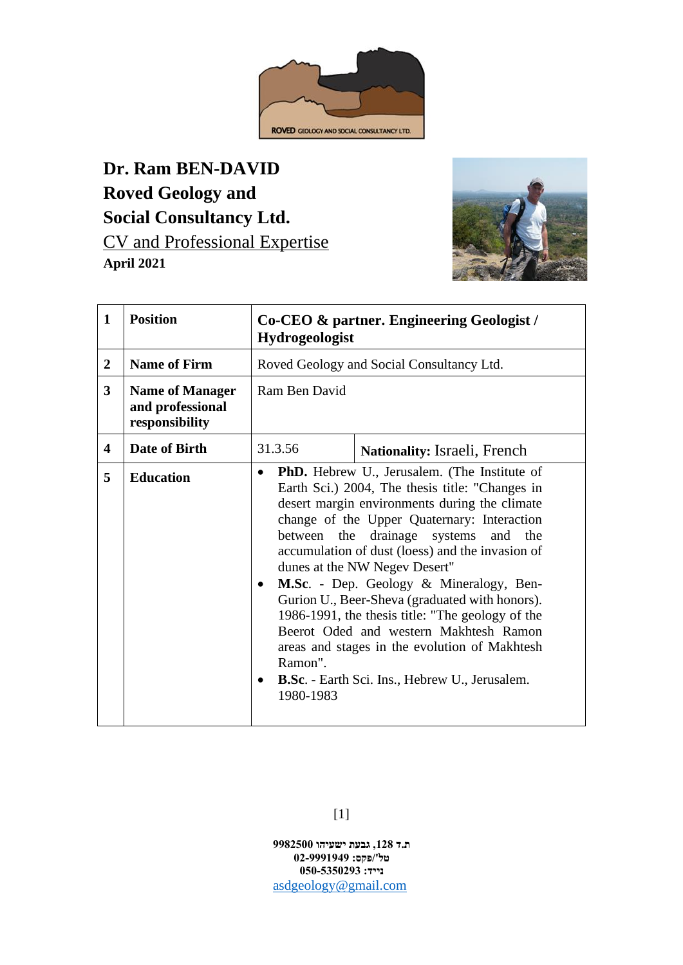

**Dr. Ram BEN-DAVID Roved Geology and Social Consultancy Ltd.** CV and Professional Expertise **April 2021**



| $\mathbf{1}$            | <b>Position</b>                                              | Co-CEO & partner. Engineering Geologist /<br>Hydrogeologist |                                                                                                                                                                                                                                                                                                                                                                                                                                                                                                                                                                                                                                 |  |  |  |
|-------------------------|--------------------------------------------------------------|-------------------------------------------------------------|---------------------------------------------------------------------------------------------------------------------------------------------------------------------------------------------------------------------------------------------------------------------------------------------------------------------------------------------------------------------------------------------------------------------------------------------------------------------------------------------------------------------------------------------------------------------------------------------------------------------------------|--|--|--|
| $\overline{2}$          | <b>Name of Firm</b>                                          | Roved Geology and Social Consultancy Ltd.                   |                                                                                                                                                                                                                                                                                                                                                                                                                                                                                                                                                                                                                                 |  |  |  |
| $\overline{\mathbf{3}}$ | <b>Name of Manager</b><br>and professional<br>responsibility | Ram Ben David                                               |                                                                                                                                                                                                                                                                                                                                                                                                                                                                                                                                                                                                                                 |  |  |  |
| $\overline{\mathbf{4}}$ | Date of Birth                                                | 31.3.56                                                     | <b>Nationality:</b> Israeli, French                                                                                                                                                                                                                                                                                                                                                                                                                                                                                                                                                                                             |  |  |  |
| 5                       | <b>Education</b>                                             | $\bullet$<br>between the<br>٠<br>Ramon".<br>٠<br>1980-1983  | <b>PhD.</b> Hebrew U., Jerusalem. (The Institute of<br>Earth Sci.) 2004, The thesis title: "Changes in<br>desert margin environments during the climate<br>change of the Upper Quaternary: Interaction<br>drainage systems and<br>the<br>accumulation of dust (loess) and the invasion of<br>dunes at the NW Negev Desert"<br>M.Sc. - Dep. Geology & Mineralogy, Ben-<br>Gurion U., Beer-Sheva (graduated with honors).<br>1986-1991, the thesis title: "The geology of the<br>Beerot Oded and western Makhtesh Ramon<br>areas and stages in the evolution of Makhtesh<br><b>B.Sc.</b> - Earth Sci. Ins., Hebrew U., Jerusalem. |  |  |  |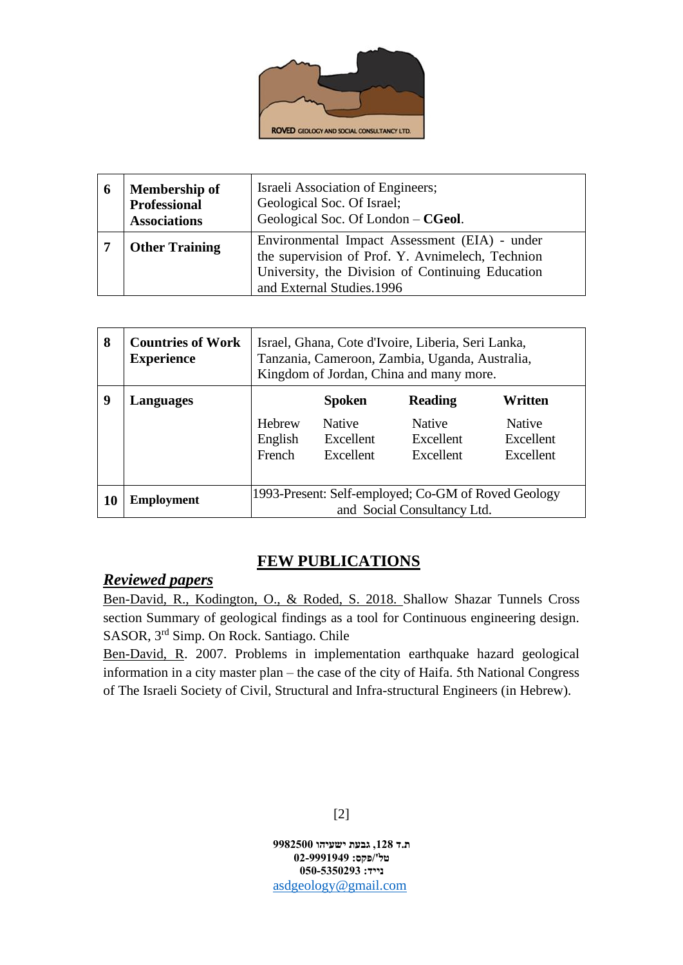

| 6 | <b>Membership of</b><br><b>Professional</b><br><b>Associations</b> | Israeli Association of Engineers;<br>Geological Soc. Of Israel;<br>Geological Soc. Of London – CGeol.                                                                              |  |
|---|--------------------------------------------------------------------|------------------------------------------------------------------------------------------------------------------------------------------------------------------------------------|--|
|   | <b>Other Training</b>                                              | Environmental Impact Assessment (EIA) - under<br>the supervision of Prof. Y. Avnimelech, Technion<br>University, the Division of Continuing Education<br>and External Studies.1996 |  |

| 8         | <b>Countries of Work</b><br><b>Experience</b> | Israel, Ghana, Cote d'Ivoire, Liberia, Seri Lanka,<br>Tanzania, Cameroon, Zambia, Uganda, Australia,<br>Kingdom of Jordan, China and many more. |                            |                            |                            |  |  |
|-----------|-----------------------------------------------|-------------------------------------------------------------------------------------------------------------------------------------------------|----------------------------|----------------------------|----------------------------|--|--|
| 9         | Languages                                     |                                                                                                                                                 | <b>Spoken</b>              | <b>Reading</b>             | Written                    |  |  |
|           |                                               | Hebrew<br>English                                                                                                                               | <b>Native</b><br>Excellent | <b>Native</b><br>Excellent | <b>Native</b><br>Excellent |  |  |
|           |                                               | French                                                                                                                                          | Excellent                  | Excellent                  | Excellent                  |  |  |
| <b>10</b> | <b>Employment</b>                             | 1993-Present: Self-employed; Co-GM of Roved Geology<br>and Social Consultancy Ltd.                                                              |                            |                            |                            |  |  |

## **FEW PUBLICATIONS**

## *Reviewed papers*

Ben-David, R., Kodington, O., & Roded, S. 2018. Shallow Shazar Tunnels Cross section Summary of geological findings as a tool for Continuous engineering design. SASOR, 3rd Simp. On Rock. Santiago. Chile

Ben-David, R. 2007. Problems in implementation earthquake hazard geological information in a city master plan – the case of the city of Haifa. 5th National Congress of The Israeli Society of Civil, Structural and Infra-structural Engineers (in Hebrew).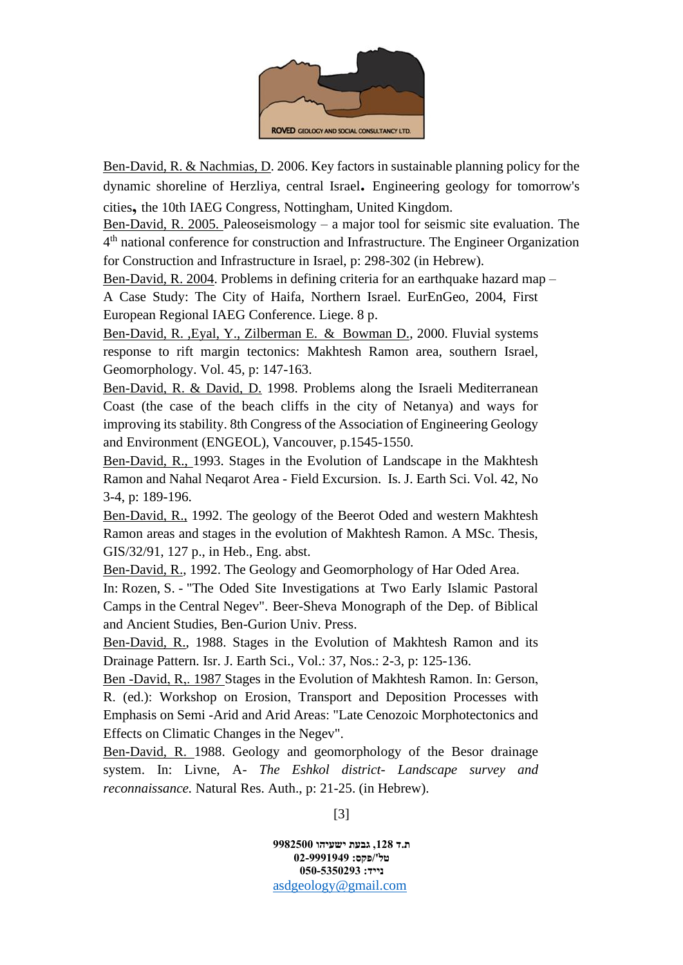

Ben-David, R. & Nachmias, D. 2006. Key factors in sustainable planning policy for the dynamic shoreline of Herzliya, central Israel**.** Engineering geology for tomorrow's cities**,** the 10th IAEG Congress, Nottingham, United Kingdom.

Ben-David, R. 2005. Paleoseismology – a major tool for seismic site evaluation. The 4<sup>th</sup> national conference for construction and Infrastructure. The Engineer Organization for Construction and Infrastructure in Israel, p: 298-302 (in Hebrew).

Ben-David, R. 2004. Problems in defining criteria for an earthquake hazard map – A Case Study: The City of Haifa, Northern Israel. EurEnGeo, 2004, First European Regional IAEG Conference. Liege. 8 p.

Ben-David, R. ,Eyal, Y., Zilberman E. & Bowman D., 2000. Fluvial systems response to rift margin tectonics: Makhtesh Ramon area, southern Israel, Geomorphology. Vol. 45, p: 147-163.

Ben-David, R. & David, D. 1998. Problems along the Israeli Mediterranean Coast (the case of the beach cliffs in the city of Netanya) and ways for improving its stability. 8th Congress of the Association of Engineering Geology and Environment (ENGEOL), Vancouver, p.1545-1550.

Ben-David, R., 1993. Stages in the Evolution of Landscape in the Makhtesh Ramon and Nahal Neqarot Area - Field Excursion. Is. J. Earth Sci. Vol. 42, No 3-4, p: 189-196.

Ben-David, R., 1992. The geology of the Beerot Oded and western Makhtesh Ramon areas and stages in the evolution of Makhtesh Ramon. A MSc. Thesis, GIS/32/91, 127 p., in Heb., Eng. abst.

Ben-David, R., 1992. The Geology and Geomorphology of Har Oded Area.

In: Rozen, S. - "The Oded Site Investigations at Two Early Islamic Pastoral Camps in the Central Negev". Beer-Sheva Monograph of the Dep. of Biblical and Ancient Studies, Ben-Gurion Univ. Press.

Ben-David, R., 1988. Stages in the Evolution of Makhtesh Ramon and its Drainage Pattern. Isr. J. Earth Sci., Vol.: 37, Nos.: 2-3, p: 125-136.

Ben -David, R,. 1987 Stages in the Evolution of Makhtesh Ramon. In: Gerson, R. (ed.): Workshop on Erosion, Transport and Deposition Processes with Emphasis on Semi -Arid and Arid Areas: "Late Cenozoic Morphotectonics and Effects on Climatic Changes in the Negev".

Ben-David, R. 1988. Geology and geomorphology of the Besor drainage system. In: Livne, A- *The Eshkol district- Landscape survey and reconnaissance.* Natural Res. Auth., p: 21-25. (in Hebrew).

[3]